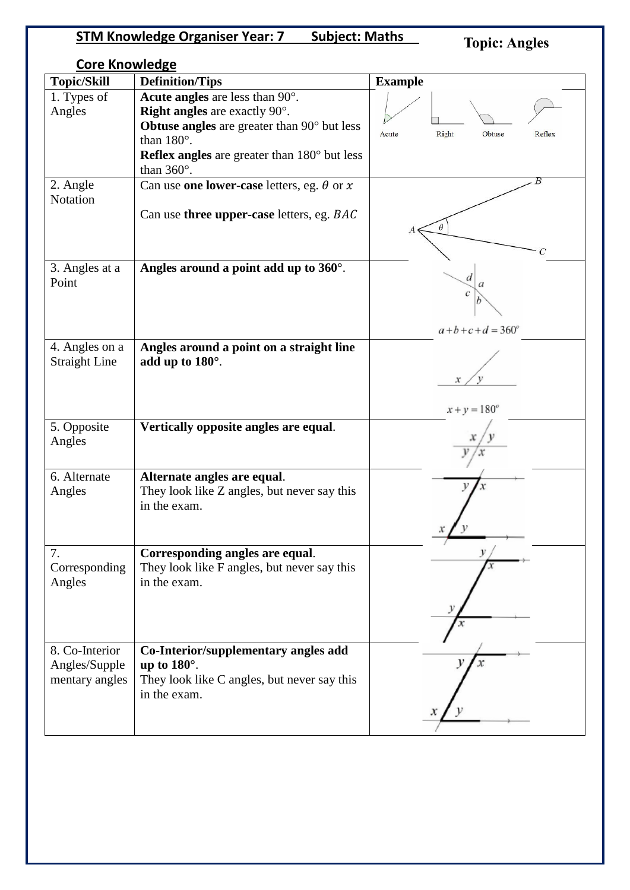# **STM Knowledge Organiser Year: 7 Subject: Maths**

# **Topic: Angles**

| <b>Core Knowledge</b>                             |                                                                                                                                                                                                                                          |                                    |  |
|---------------------------------------------------|------------------------------------------------------------------------------------------------------------------------------------------------------------------------------------------------------------------------------------------|------------------------------------|--|
| <b>Topic/Skill</b>                                | <b>Definition/Tips</b>                                                                                                                                                                                                                   | <b>Example</b>                     |  |
| 1. Types of<br>Angles                             | Acute angles are less than 90°.<br><b>Right angles</b> are exactly $90^\circ$ .<br>Obtuse angles are greater than 90° but less<br>than $180^\circ$ .<br><b>Reflex angles</b> are greater than $180^\circ$ but less<br>than $360^\circ$ . | Right<br>Obtuse<br>Acute<br>Reflex |  |
| 2. Angle<br>Notation                              | Can use one lower-case letters, eg. $\theta$ or $x$<br>Can use three upper-case letters, eg. BAC                                                                                                                                         | θ<br>C                             |  |
| 3. Angles at a<br>Point                           | Angles around a point add up to 360°.                                                                                                                                                                                                    | d<br>$a+b+c+d = 360^{\circ}$       |  |
| 4. Angles on a<br><b>Straight Line</b>            | Angles around a point on a straight line<br>add up to $180^\circ$ .                                                                                                                                                                      | $x + y = 180^{\circ}$              |  |
| 5. Opposite<br>Angles                             | Vertically opposite angles are equal.                                                                                                                                                                                                    |                                    |  |
| 6. Alternate<br>Angles                            | Alternate angles are equal.<br>They look like Z angles, but never say this<br>in the exam.                                                                                                                                               |                                    |  |
| 7.<br>Corresponding<br>Angles                     | Corresponding angles are equal.<br>They look like F angles, but never say this<br>in the exam.                                                                                                                                           |                                    |  |
| 8. Co-Interior<br>Angles/Supple<br>mentary angles | Co-Interior/supplementary angles add<br>up to $180^\circ$ .<br>They look like C angles, but never say this<br>in the exam.                                                                                                               |                                    |  |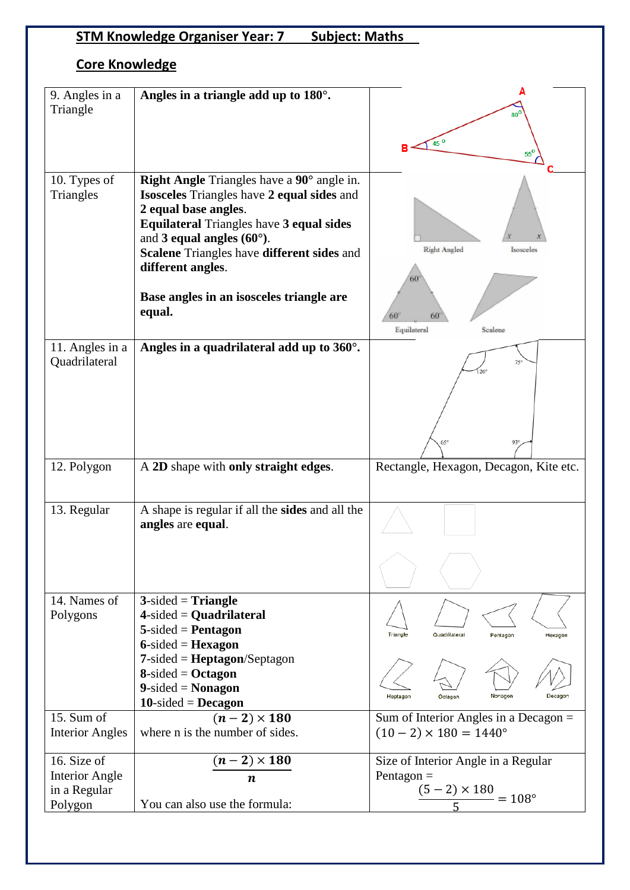# **STM Knowledge Organiser Year: 7 Subject: Maths**

## **Core Knowledge**

| 9. Angles in a<br>Triangle                             |                                                                                                                                                                                                                                                        |                                                                                            |
|--------------------------------------------------------|--------------------------------------------------------------------------------------------------------------------------------------------------------------------------------------------------------------------------------------------------------|--------------------------------------------------------------------------------------------|
|                                                        | Angles in a triangle add up to $180^\circ$ .                                                                                                                                                                                                           |                                                                                            |
|                                                        |                                                                                                                                                                                                                                                        | $80^6$                                                                                     |
|                                                        |                                                                                                                                                                                                                                                        |                                                                                            |
|                                                        |                                                                                                                                                                                                                                                        | 45 <sup>o</sup>                                                                            |
|                                                        |                                                                                                                                                                                                                                                        | 55                                                                                         |
|                                                        |                                                                                                                                                                                                                                                        |                                                                                            |
| 10. Types of                                           | Right Angle Triangles have a 90° angle in.<br><b>Isosceles</b> Triangles have 2 equal sides and                                                                                                                                                        |                                                                                            |
| Triangles                                              | 2 equal base angles.                                                                                                                                                                                                                                   |                                                                                            |
|                                                        | <b>Equilateral Triangles have 3 equal sides</b>                                                                                                                                                                                                        |                                                                                            |
|                                                        | and 3 equal angles $(60^{\circ})$ .                                                                                                                                                                                                                    |                                                                                            |
|                                                        | Scalene Triangles have different sides and                                                                                                                                                                                                             | Right Angled<br>Isosceles                                                                  |
|                                                        | different angles.                                                                                                                                                                                                                                      |                                                                                            |
|                                                        |                                                                                                                                                                                                                                                        |                                                                                            |
|                                                        | Base angles in an isosceles triangle are                                                                                                                                                                                                               |                                                                                            |
|                                                        | equal.                                                                                                                                                                                                                                                 |                                                                                            |
|                                                        |                                                                                                                                                                                                                                                        | 60°<br>60<br>Equilateral<br>Scalene                                                        |
|                                                        |                                                                                                                                                                                                                                                        |                                                                                            |
| 11. Angles in a                                        | Angles in a quadrilateral add up to $360^\circ$ .                                                                                                                                                                                                      |                                                                                            |
| Quadrilateral                                          |                                                                                                                                                                                                                                                        | 126                                                                                        |
|                                                        |                                                                                                                                                                                                                                                        |                                                                                            |
|                                                        |                                                                                                                                                                                                                                                        |                                                                                            |
|                                                        |                                                                                                                                                                                                                                                        |                                                                                            |
|                                                        |                                                                                                                                                                                                                                                        |                                                                                            |
|                                                        |                                                                                                                                                                                                                                                        | $65^\circ$<br>$93^\circ$                                                                   |
|                                                        |                                                                                                                                                                                                                                                        |                                                                                            |
|                                                        |                                                                                                                                                                                                                                                        |                                                                                            |
|                                                        |                                                                                                                                                                                                                                                        |                                                                                            |
|                                                        |                                                                                                                                                                                                                                                        |                                                                                            |
|                                                        |                                                                                                                                                                                                                                                        |                                                                                            |
|                                                        |                                                                                                                                                                                                                                                        |                                                                                            |
|                                                        |                                                                                                                                                                                                                                                        |                                                                                            |
|                                                        |                                                                                                                                                                                                                                                        |                                                                                            |
|                                                        |                                                                                                                                                                                                                                                        |                                                                                            |
|                                                        |                                                                                                                                                                                                                                                        |                                                                                            |
|                                                        |                                                                                                                                                                                                                                                        |                                                                                            |
|                                                        |                                                                                                                                                                                                                                                        |                                                                                            |
|                                                        |                                                                                                                                                                                                                                                        |                                                                                            |
|                                                        |                                                                                                                                                                                                                                                        |                                                                                            |
|                                                        |                                                                                                                                                                                                                                                        |                                                                                            |
|                                                        | $8$ -sided = Octagon                                                                                                                                                                                                                                   |                                                                                            |
|                                                        | $9$ -sided = Nonagon                                                                                                                                                                                                                                   |                                                                                            |
|                                                        | $10$ -sided = Decagon                                                                                                                                                                                                                                  | Nonagon<br>Heptagon<br>Octagon<br>Decagon                                                  |
| 15. Sum of                                             | $(n-2) \times 180$                                                                                                                                                                                                                                     |                                                                                            |
| <b>Interior Angles</b>                                 | where n is the number of sides.                                                                                                                                                                                                                        | Sum of Interior Angles in a Decagon =<br>$(10-2) \times 180 = 1440^{\circ}$                |
|                                                        |                                                                                                                                                                                                                                                        |                                                                                            |
| 16. Size of                                            | $(n-2) \times 180$                                                                                                                                                                                                                                     | Size of Interior Angle in a Regular                                                        |
| <b>Interior Angle</b>                                  | $\boldsymbol{n}$                                                                                                                                                                                                                                       | Pentagon $=$                                                                               |
| in a Regular                                           |                                                                                                                                                                                                                                                        | $(5-2) \times 180 = 108^{\circ}$                                                           |
| 12. Polygon<br>13. Regular<br>14. Names of<br>Polygons | A 2D shape with only straight edges.<br>A shape is regular if all the sides and all the<br>angles are equal.<br>$3$ -sided = Triangle<br>$4$ -sided = Quadrilateral<br>$5$ -sided = Pentagon<br>$6$ -sided = Hexagon<br>$7$ -sided = Heptagon/Septagon | Rectangle, Hexagon, Decagon, Kite etc.<br>Triangle<br>Quadrilateral<br>Pentagon<br>Hexagon |